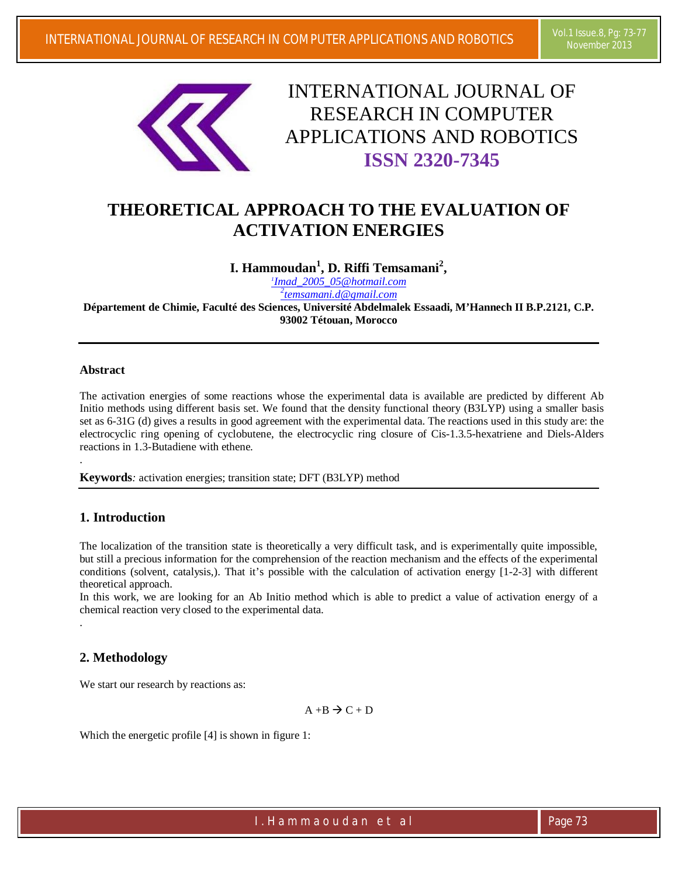

# INTERNATIONAL JOURNAL OF RESEARCH IN COMPUTER APPLICATIONS AND ROBOTICS **ISSN 2320-7345**

# **THEORETICAL APPROACH TO THE EVALUATION OF ACTIVATION ENERGIES**

**I. Hammoudan<sup>1</sup> , D. Riffi Temsamani<sup>2</sup> ,**

*1 Imad\_2005\_05@hotmail.com 2 temsamani.d@gmail.com*

**Département de Chimie, Faculté des Sciences, Université Abdelmalek Essaadi, M'Hannech II B.P.2121, C.P. 93002 Tétouan, Morocco**

#### **Abstract**

.

.

The activation energies of some reactions whose the experimental data is available are predicted by different Ab Initio methods using different basis set. We found that the density functional theory (B3LYP) using a smaller basis set as 6-31G (d) gives a results in good agreement with the experimental data. The reactions used in this study are: the electrocyclic ring opening of cyclobutene, the electrocyclic ring closure of Cis-1.3.5-hexatriene and Diels-Alders reactions in 1.3-Butadiene with ethene.

**Keywords***:* activation energies; transition state; DFT (B3LYP) method

# **1. Introduction**

The localization of the transition state is theoretically a very difficult task, and is experimentally quite impossible, but still a precious information for the comprehension of the reaction mechanism and the effects of the experimental conditions (solvent, catalysis,). That it's possible with the calculation of activation energy [1-2-3] with different theoretical approach.

In this work, we are looking for an Ab Initio method which is able to predict a value of activation energy of a chemical reaction very closed to the experimental data.

# **2. Methodology**

We start our research by reactions as:

$$
A \dashv B \mathrel{\Rightarrow} C + D
$$

Which the energetic profile [4] is shown in figure 1:

I. Hamma o u d a n e t a l e t a l e se e que 73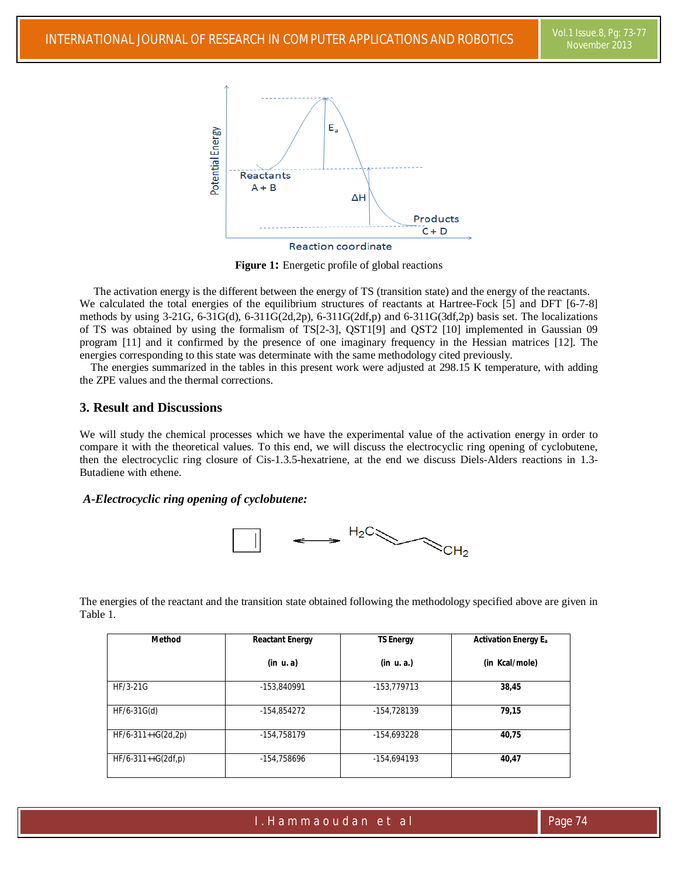

**Figure 1:** Energetic profile of global reactions

 The activation energy is the different between the energy of TS (transition state) and the energy of the reactants. We calculated the total energies of the equilibrium structures of reactants at Hartree-Fock [5] and DFT [6-7-8] methods by using 3-21G, 6-31G(d), 6-311G(2d,2p), 6-311G(2df,p) and 6-311G(3df,2p) basis set. The localizations of TS was obtained by using the formalism of TS[2-3], QST1[9] and QST2 [10] implemented in Gaussian 09 program [11] and it confirmed by the presence of one imaginary frequency in the Hessian matrices [12]. The energies corresponding to this state was determinate with the same methodology cited previously.

 The energies summarized in the tables in this present work were adjusted at 298.15 K temperature, with adding the ZPE values and the thermal corrections.

## **3. Result and Discussions**

We will study the chemical processes which we have the experimental value of the activation energy in order to compare it with the theoretical values. To this end, we will discuss the electrocyclic ring opening of cyclobutene, then the electrocyclic ring closure of Cis-1.3.5-hexatriene, at the end we discuss Diels-Alders reactions in 1.3- Butadiene with ethene.

#### *A-Electrocyclic ring opening of cyclobutene:*



The energies of the reactant and the transition state obtained following the methodology specified above are given in Table 1.

| <b>Method</b>                       | <b>Reactant Energy</b> |               | <b>Activation Energy E<sub>a</sub></b> |  |
|-------------------------------------|------------------------|---------------|----------------------------------------|--|
|                                     | (in u.a)               | (in u. a.)    | (in Kcal/mole)                         |  |
| HF/3-21G                            | -153.840991            | -153,779713   | 38,45                                  |  |
| HF/6-31G(d)                         | -154,854272            | -154,728139   | 79,15                                  |  |
| $HF/6-311++G(2d,2p)$                | -154.758179            | -154,693228   | 40,75                                  |  |
| $HF/6-311++G(2df,p)$<br>-154,758696 |                        | $-154,694193$ | 40,47                                  |  |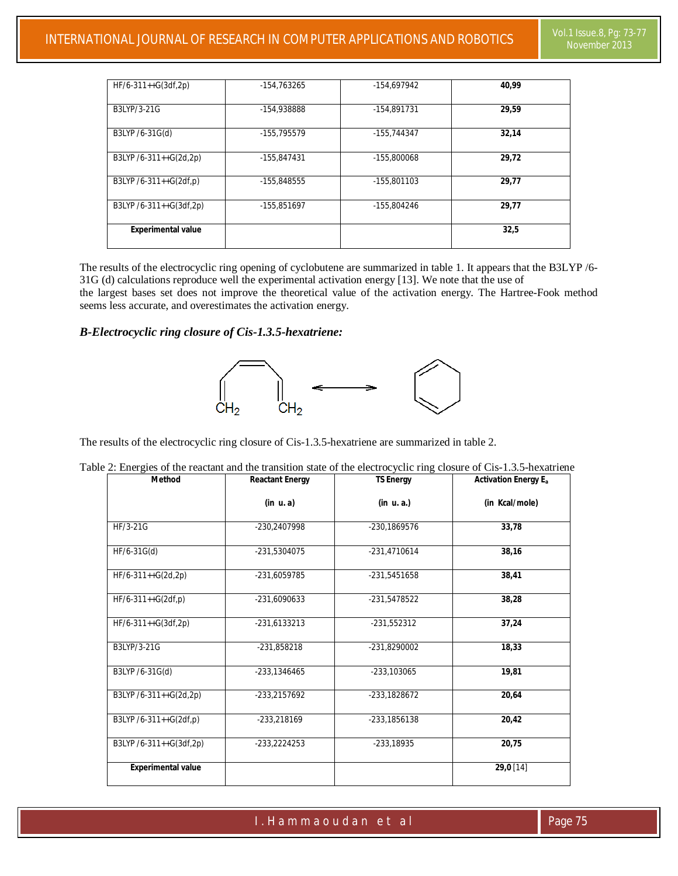| $HF/6-311++G(3df,2p)$                 | -154,763265 | -154.697942 | 40.99 |
|---------------------------------------|-------------|-------------|-------|
| B3LYP/3-21G                           | -154.938888 | -154.891731 | 29.59 |
| B3LYP /6-31G(d)                       | -155,795579 | -155,744347 | 32,14 |
| B3LYP /6-311++G(2d,2p)                | -155.847431 | -155.800068 | 29,72 |
| B3LYP /6-311++G(2df,p)<br>-155.848555 |             | -155.801103 | 29.77 |
| B3LYP /6-311++G(3df,2p)               | -155.851697 | -155.804246 | 29.77 |
| <b>Experimental value</b>             |             |             | 32,5  |

The results of the electrocyclic ring opening of cyclobutene are summarized in table 1. It appears that the B3LYP /6- 31G (d) calculations reproduce well the experimental activation energy [13]. We note that the use of the largest bases set does not improve the theoretical value of the activation energy. The Hartree-Fook method seems less accurate, and overestimates the activation energy.

# *B-Electrocyclic ring closure of Cis-1.3.5-hexatriene:*



The results of the electrocyclic ring closure of Cis-1.3.5-hexatriene are summarized in table 2.

| <b>Method</b>                             | <b>Reactant Energy</b> | <b>TS Energy</b> | <b>Activation Energy E<sub>a</sub></b> |  |
|-------------------------------------------|------------------------|------------------|----------------------------------------|--|
|                                           | (in u.a)               | (in u. a.)       | (in Kcal/mole)                         |  |
| HF/3-21G                                  | -230,2407998           | -230,1869576     | 33,78                                  |  |
| $HF/6-31G(d)$                             | -231,5304075           | -231,4710614     | 38,16                                  |  |
| $HF/6-311++G(2d,2p)$                      | -231,6059785           | -231,5451658     | 38,41                                  |  |
| $HF/6-311++G(2df,p)$                      | -231,6090633           | -231,5478522     | 38,28                                  |  |
| $HF/6-311++G(3df,2p)$                     | $-231,6133213$         | $-231,552312$    | 37,24                                  |  |
| B3LYP/3-21G                               | $-231,858218$          | -231,8290002     | 18,33                                  |  |
| B3LYP /6-31G(d)                           | -233,1346465           | -233,103065      | 19,81                                  |  |
| B3LYP /6-311++G(2d,2p)                    | -233,2157692           | -233,1828672     | 20,64                                  |  |
| B3LYP /6-311++G(2df,p)                    | -233,218169            | -233,1856138     | 20,42                                  |  |
| B3LYP /6-311++G(3df,2p)<br>$-233,2224253$ |                        | $-233,18935$     | 20,75                                  |  |
| <b>Experimental value</b>                 |                        |                  | 29,0 [14]                              |  |

| Table 2: Energies of the reactant and the transition state of the electrocyclic ring closure of Cis-1.3.5-hexatriene |  |  |  |
|----------------------------------------------------------------------------------------------------------------------|--|--|--|
|                                                                                                                      |  |  |  |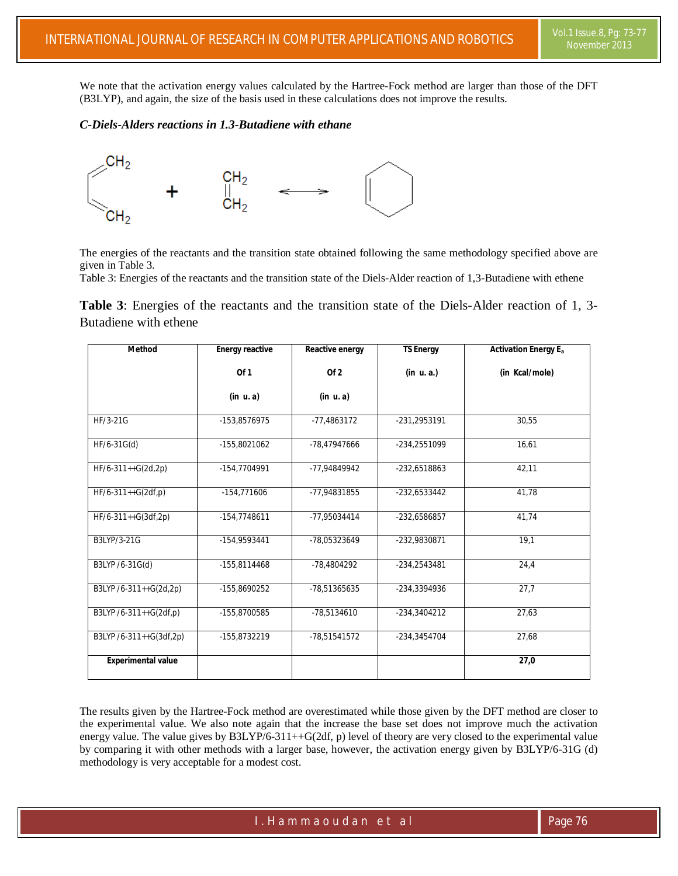We note that the activation energy values calculated by the Hartree-Fock method are larger than those of the DFT (B3LYP), and again, the size of the basis used in these calculations does not improve the results.

#### *C-Diels-Alders reactions in 1.3-Butadiene with ethane*



The energies of the reactants and the transition state obtained following the same methodology specified above are given in Table 3.

Table 3: Energies of the reactants and the transition state of the Diels-Alder reaction of 1,3-Butadiene with ethene

**Table 3**: Energies of the reactants and the transition state of the Diels-Alder reaction of 1, 3- Butadiene with ethene

| <b>Method</b>             | <b>Energy reactive</b> | Reactive energy | <b>TS Energy</b> | <b>Activation Energy E<sub>a</sub></b> |
|---------------------------|------------------------|-----------------|------------------|----------------------------------------|
|                           | Of1                    | Of 2            | (in u.a.)        | (in Kcal/mole)                         |
|                           | (in u.a)               | (in u.a)        |                  |                                        |
| HF/3-21G                  | -153,8576975           | -77,4863172     | -231,2953191     | 30,55                                  |
| $HF/6-31G(d)$             | -155,8021062           | -78,47947666    | -234,2551099     | 16,61                                  |
| HF/6-311++G(2d,2p)        | -154,7704991           | -77,94849942    | -232,6518863     | 42,11                                  |
| $HF/6-311++G(2df,p)$      | $-154,771606$          | -77,94831855    | -232,6533442     | 41,78                                  |
| $HF/6-311++G(3df,2p)$     | $-154,7748611$         | -77,95034414    | -232,6586857     | 41.74                                  |
| B3LYP/3-21G               | -154,9593441           | -78,05323649    | -232,9830871     | 19,1                                   |
| B3LYP /6-31G(d)           | -155,8114468           | -78,4804292     | -234,2543481     | 24,4                                   |
| B3LYP /6-311++G(2d,2p)    | -155,8690252           | -78,51365635    | -234,3394936     | 27,7                                   |
| B3LYP /6-311++G(2df,p)    | -155,8700585           | -78,5134610     | -234,3404212     | 27,63                                  |
| B3LYP /6-311++G(3df,2p)   | -155,8732219           | -78,51541572    | -234,3454704     | 27,68                                  |
| <b>Experimental value</b> |                        |                 |                  | 27,0                                   |

The results given by the Hartree-Fock method are overestimated while those given by the DFT method are closer to the experimental value. We also note again that the increase the base set does not improve much the activation energy value. The value gives by  $B3LYP/6-311++G(2df, p)$  level of theory are very closed to the experimental value by comparing it with other methods with a larger base, however, the activation energy given by B3LYP/6-31G (d) methodology is very acceptable for a modest cost.